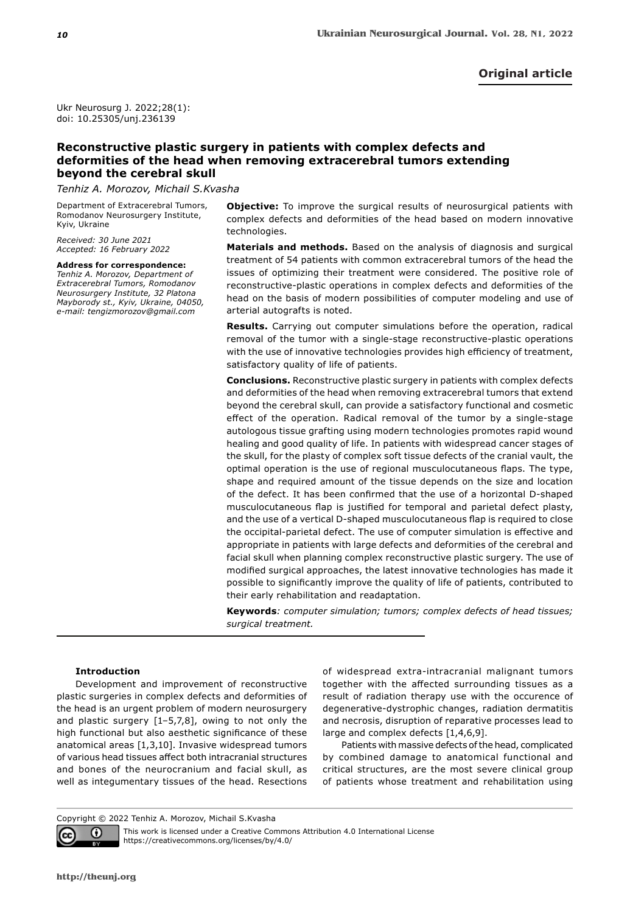Ukr Neurosurg J. 2022;28(1): doi: 10.25305/unj.236139

# **Reconstructive plastic surgery in patients with complex defects and deformities of the head when removing extracerebral tumors extending beyond the cerebral skull**

*Tenhiz А. Morozov, Michail S.Kvasha*

Department of Extracerebral Tumors, Romodanov Neurosurgery Institute, Kyiv, Ukraine

*Received: 30 June 2021 Accepted: 16 February 2022*

**Address for correspondence:** *Tenhiz А. Morozov, Department of Extracerebral Tumors, Romodanov Neurosurgery Institute, 32 Platona Mayborody st., Kyiv, Ukraine, 04050, e-mail: tengizmorozov@gmail.com*

**Objective:** To improve the surgical results of neurosurgical patients with complex defects and deformities of the head based on modern innovative technologies.

**Маterials and methods.** Based on the analysis of diagnosis and surgical treatment of 54 patients with common extracerebral tumors of the head the issues of optimizing their treatment were considered. The positive role of reconstructive-plastic operations in complex defects and deformities of the head on the basis of modern possibilities of computer modeling and use of arterial autografts is noted.

**Results.** Carrying out computer simulations before the operation, radical removal of the tumor with a single-stage reconstructive-plastic operations with the use of innovative technologies provides high efficiency of treatment, satisfactory quality of life of patients.

**Conclusions.** Reconstructive plastic surgery in patients with complex defects and deformities of the head when removing extracerebral tumors that extend beyond the cerebral skull, can provide a satisfactory functional and cosmetic effect of the operation. Radical removal of the tumor by a single-stage autologous tissue grafting using modern technologies promotes rapid wound healing and good quality of life. In patients with widespread cancer stages of the skull, for the plasty of complex soft tissue defects of the cranial vault, the optimal operation is the use of regional musculocutaneous flaps. The type, shape and required amount of the tissue depends on the size and location of the defect. It has been confirmed that the use of a horizontal D-shaped musculocutaneous flap is justified for temporal and parietal defect plasty, and the use of a vertical D-shaped musculocutaneous flap is required to close the occipital-parietal defect. The use of computer simulation is effective and appropriate in patients with large defects and deformities of the cerebral and facial skull when planning complex reconstructive plastic surgery. The use of modified surgical approaches, the latest innovative technologies has made it possible to significantly improve the quality of life of patients, contributed to their early rehabilitation and readaptation.

**Keywords***: computer simulation; tumors; complex defects of head tissues; surgical treatment.*

# **Introduction**

Development and improvement of reconstructive plastic surgeries in complex defects and deformities of the head is an urgent problem of modern neurosurgery and plastic surgery  $[1-5,7,8]$ , owing to not only the high functional but also aesthetic significance of these anatomical areas [1,3,10]. Invasive widespread tumors of various head tissues affect both intracranial structures and bones of the neurocranium and facial skull, as well as integumentary tissues of the head. Resections of widespread extra-intracranial malignant tumors together with the affected surrounding tissues as a result of radiation therapy use with the occurence of degenerative-dystrophic changes, radiation dermatitis and necrosis, disruption of reparative processes lead to large and complex defects [1,4,6,9].

Patients with massive defects of the head, complicated by combined damage to anatomical functional and critical structures, are the most severe clinical group of patients whose treatment and rehabilitation using

Copyright © 2022 Tenhiz А. Morozov, Michail S.Kvasha



This work is licensed under a Creative Commons Attribution 4.0 International License https://creativecommons.org/licenses/by/4.0/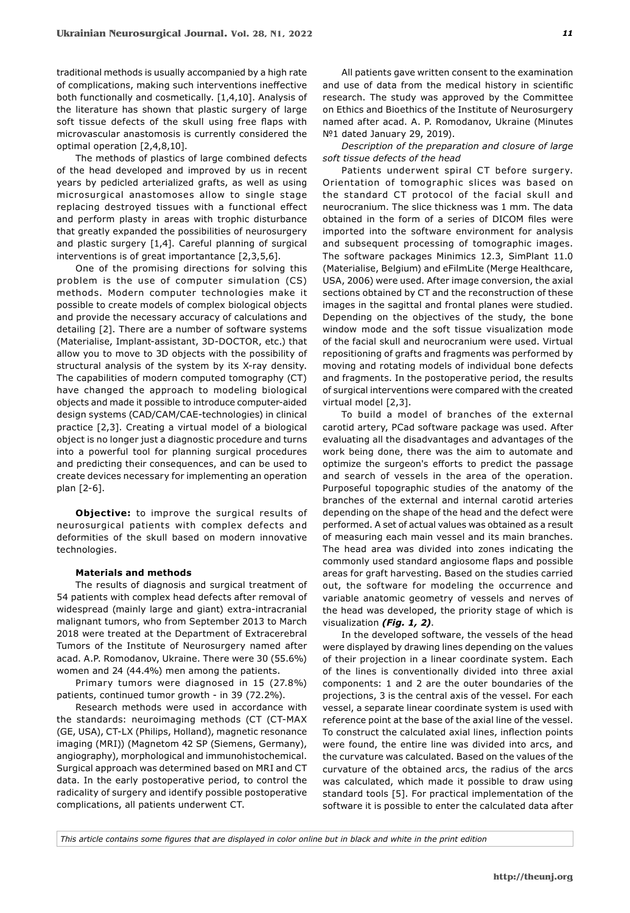traditional methods is usually accompanied by a high rate of complications, making such interventions ineffective both functionally and cosmetically. [1,4,10]. Analysis of the literature has shown that plastic surgery of large soft tissue defects of the skull using free flaps with microvascular anastomosis is currently considered the optimal operation [2,4,8,10].

The methods of plastics of large combined defects of the head developed and improved by us in recent years by pedicled arterialized grafts, as well as using microsurgical anastomoses allow to single stage replacing destroyed tissues with a functional effect and perform plasty in areas with trophic disturbance that greatly expanded the possibilities of neurosurgery and plastic surgery [1,4]. Careful planning of surgical interventions is of great importantance [2,3,5,6].

One of the promising directions for solving this problem is the use of computer simulation (CS) methods. Modern computer technologies make it possible to create models of complex biological objects and provide the necessary accuracy of calculations and detailing [2]. There are a number of software systems (Materialise, Implant-assistant, 3D-DOCTOR, etc.) that allow you to move to 3D objects with the possibility of structural analysis of the system by its X-ray density. The capabilities of modern computed tomography (CT) have changed the approach to modeling biological objects and made it possible to introduce computer-aided design systems (CAD/CAM/CAE-technologies) in clinical practice [2,3]. Creating a virtual model of a biological object is no longer just a diagnostic procedure and turns into a powerful tool for planning surgical procedures and predicting their consequences, and can be used to create devices necessary for implementing an operation plan [2-6].

**Objective:** to improve the surgical results of neurosurgical patients with complex defects and deformities of the skull based on modern innovative technologies.

# **Materials and methods**

The results of diagnosis and surgical treatment of 54 patients with complex head defects after removal of widespread (mainly large and giant) extra-intracranial malignant tumors, who from September 2013 to March 2018 were treated at the Department of Extracerebral Tumors of the Institute of Neurosurgery named after acad. A.P. Romodanov, Ukraine. There were 30 (55.6%) women and 24 (44.4%) men among the patients.

Primary tumors were diagnosed in 15 (27.8%) patients, continued tumor growth - in 39 (72.2%).

Research methods were used in accordance with the standards: neuroimaging methods (CT (CT-MAX (GE, USA), CT-LX (Philips, Holland), magnetic resonance imaging (MRI)) (Magnetom 42 SP (Siemens, Germany), angiography), morphological and immunohistochemical. Surgical approach was determined based on MRI and CT data. In the early postoperative period, to control the radicality of surgery and identify possible postoperative complications, all patients underwent CT.

All patients gave written consent to the examination and use of data from the medical history in scientific research. The study was approved by the Committee on Ethics and Bioethics of the Institute of Neurosurgery named after acad. A. P. Romodanov, Ukraine (Minutes №1 dated January 29, 2019).

*Description of the preparation and closure of large soft tissue defects of the head*

Patients underwent spiral CT before surgery. Orientation of tomographic slices was based on the standard CT protocol of the facial skull and neurocranium. The slice thickness was 1 mm. The data obtained in the form of a series of DICOM files were imported into the software environment for analysis and subsequent processing of tomographic images. The software packages Minimics 12.3, SimPlant 11.0 (Materialise, Belgium) and eFilmLite (Merge Healthcare, USA, 2006) were used. After image conversion, the axial sections obtained by CT and the reconstruction of these images in the sagittal and frontal planes were studied. Depending on the objectives of the study, the bone window mode and the soft tissue visualization mode of the facial skull and neurocranium were used. Virtual repositioning of grafts and fragments was performed by moving and rotating models of individual bone defects and fragments. In the postoperative period, the results of surgical interventions were compared with the created virtual model [2,3].

To build a model of branches of the external carotid artery, PCad software package was used. After evaluating all the disadvantages and advantages of the work being done, there was the aim to automate and optimize the surgeon's efforts to predict the passage and search of vessels in the area of the operation. Purposeful topographic studies of the anatomy of the branches of the external and internal carotid arteries depending on the shape of the head and the defect were performed. A set of actual values was obtained as a result of measuring each main vessel and its main branches. The head area was divided into zones indicating the commonly used standard angiosome flaps and possible areas for graft harvesting. Based on the studies carried out, the software for modeling the occurrence and variable anatomic geometry of vessels and nerves of the head was developed, the priority stage of which is visualization *(Fig. 1, 2)*.

In the developed software, the vessels of the head were displayed by drawing lines depending on the values of their projection in a linear coordinate system. Each of the lines is conventionally divided into three axial components: 1 and 2 are the outer boundaries of the projections, 3 is the central axis of the vessel. For each vessel, a separate linear coordinate system is used with reference point at the base of the axial line of the vessel. To construct the calculated axial lines, inflection points were found, the entire line was divided into arcs, and the curvature was calculated. Based on the values of the curvature of the obtained arcs, the radius of the arcs was calculated, which made it possible to draw using standard tools [5]. For practical implementation of the software it is possible to enter the calculated data after

*This article contains some figures that are displayed in color online but in black and white in the print edition*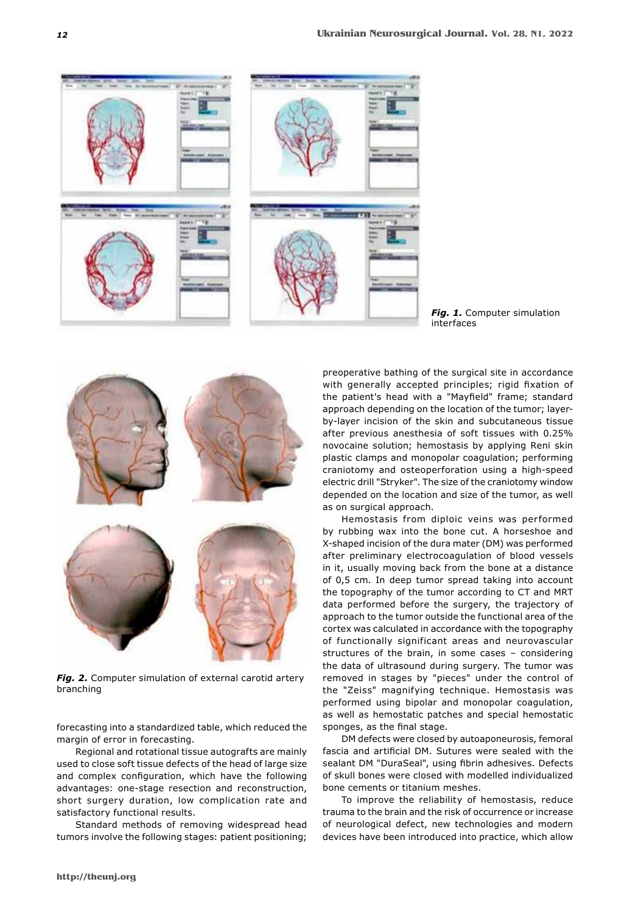

*Fig. 1.* Computer simulation interfaces



*Fig. 2.* Computer simulation of external carotid artery branching

forecasting into a standardized table, which reduced the margin of error in forecasting.

Regional and rotational tissue autografts are mainly used to close soft tissue defects of the head of large size and complex configuration, which have the following advantages: one-stage resection and reconstruction, short surgery duration, low complication rate and satisfactory functional results.

Standard methods of removing widespread head tumors involve the following stages: patient positioning;

preoperative bathing of the surgical site in accordance with generally accepted principles; rigid fixation of the patient's head with a "Mayfield" frame; standard approach depending on the location of the tumor; layerby-layer incision of the skin and subcutaneous tissue after previous anesthesia of soft tissues with 0.25% novocaine solution; hemostasis by applying Reni skin plastic clamps and monopolar coagulation; performing craniotomy and osteoperforation using a high-speed electric drill "Stryker". The size of the craniotomy window depended on the location and size of the tumor, as well as on surgical approach.

Hemostasis from diploic veins was performed by rubbing wax into the bone cut. A horseshoe and X-shaped incision of the dura mater (DM) was performed after preliminary electrocoagulation of blood vessels in it, usually moving back from the bone at a distance of 0,5 cm. In deep tumor spread taking into account the topography of the tumor according to CT and MRT data performed before the surgery, the trajectory of approach to the tumor outside the functional area of the cortex was calculated in accordance with the topography of functionally significant areas and neurovascular structures of the brain, in some cases – considering the data of ultrasound during surgery. The tumor was removed in stages by "pieces" under the control of the "Zeiss" magnifying technique. Hemostasis was performed using bipolar and monopolar coagulation, as well as hemostatic patches and special hemostatic sponges, as the final stage.

DM defects were closed by autoaponeurosis, femoral fascia and artificial DM. Sutures were sealed with the sealant DM "DuraSeal", using fibrin adhesives. Defects of skull bones were closed with modelled individualized bone cements or titanium meshes.

To improve the reliability of hemostasis, reduce trauma to the brain and the risk of occurrence or increase of neurological defect, new technologies and modern devices have been introduced into practice, which allow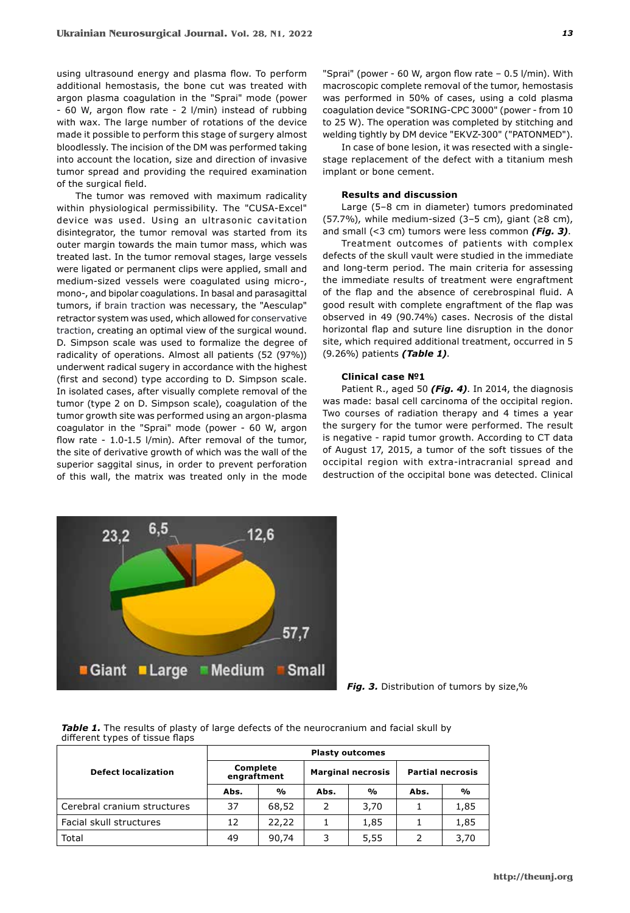using ultrasound energy and plasma flow. To perform additional hemostasis, the bone cut was treated with argon plasma coagulation in the "Sprai" mode (power - 60 W, argon flow rate - 2 l/min) instead of rubbing with wax. The large number of rotations of the device made it possible to perform this stage of surgery almost bloodlessly. The incision of the DM was performed taking into account the location, size and direction of invasive tumor spread and providing the required examination of the surgical field.

The tumor was removed with maximum radicality within physiological permissibility. The "CUSA-Excel" device was used. Using an ultrasonic cavitation disintegrator, the tumor removal was started from its outer margin towards the main tumor mass, which was treated last. In the tumor removal stages, large vessels were ligated or permanent clips were applied, small and medium-sized vessels were coagulated using micro-, mono-, and bipolar coagulations. In basal and parasagittal tumors, if brain traction was necessary, the "Aesculap" retractor system was used, which allowed for conservative traction, creating an optimal view of the surgical wound. D. Simpson scale was used to formalize the degree of radicality of operations. Almost all patients (52 (97%)) underwent radical sugery in accordance with the highest (first and second) type according to D. Simpson scale. In isolated cases, after visually complete removal of the tumor (type 2 on D. Simpson scale), coagulation of the tumor growth site was performed using an argon-plasma coagulator in the "Sprai" mode (power - 60 W, argon flow rate - 1.0-1.5 l/min). After removal of the tumor, the site of derivative growth of which was the wall of the superior saggital sinus, in order to prevent perforation of this wall, the matrix was treated only in the mode

"Sprai" (power - 60 W, argon flow rate – 0.5 l/min). With macroscopic complete removal of the tumor, hemostasis was performed in 50% of cases, using a cold plasma coagulation device "SORING-CPC 3000" (power - from 10 to 25 W). The operation was completed by stitching and welding tightly by DM device "EKVZ-300" ("PATONMED").

In case of bone lesion, it was resected with a singlestage replacement of the defect with a titanium mesh implant or bone cement.

# **Results and discussion**

Large (5–8 cm in diameter) tumors predominated (57.7%), while medium-sized (3–5 cm), giant ( $\geq$ 8 cm), and small (<3 cm) tumors were less common *(Fig. 3)*.

Treatment outcomes of patients with complex defects of the skull vault were studied in the immediate and long-term period. The main criteria for assessing the immediate results of treatment were engraftment of the flap and the absence of cerebrospinal fluid. A good result with complete engraftment of the flap was observed in 49 (90.74%) cases. Necrosis of the distal horizontal flap and suture line disruption in the donor site, which required additional treatment, occurred in 5 (9.26%) patients *(Table 1)*.

## **Clinical case №1**

Patient R., aged 50 *(Fig. 4)*. In 2014, the diagnosis was made: basal cell carcinoma of the occipital region. Two courses of radiation therapy and 4 times a year the surgery for the tumor were performed. The result is negative - rapid tumor growth. According to CT data of August 17, 2015, a tumor of the soft tissues of the occipital region with extra-intracranial spread and destruction of the occipital bone was detected. Clinical



*Fig. 3.* Distribution of tumors by size,%

**Table 1.** The results of plasty of large defects of the neurocranium and facial skull by different types of tissue flaps

|                             | <b>Plasty outcomes</b>  |               |                          |      |                         |      |
|-----------------------------|-------------------------|---------------|--------------------------|------|-------------------------|------|
| <b>Defect localization</b>  | Complete<br>engraftment |               | <b>Marginal necrosis</b> |      | <b>Partial necrosis</b> |      |
|                             | Abs.                    | $\frac{1}{2}$ | Abs.                     | %    | Abs.                    | %    |
| Cerebral cranium structures | 37                      | 68,52         | 2                        | 3,70 |                         | 1,85 |
| Facial skull structures     | 12                      | 22,22         |                          | 1,85 |                         | 1,85 |
| Total                       | 49                      | 90,74         | 3                        | 5,55 | 2                       | 3,70 |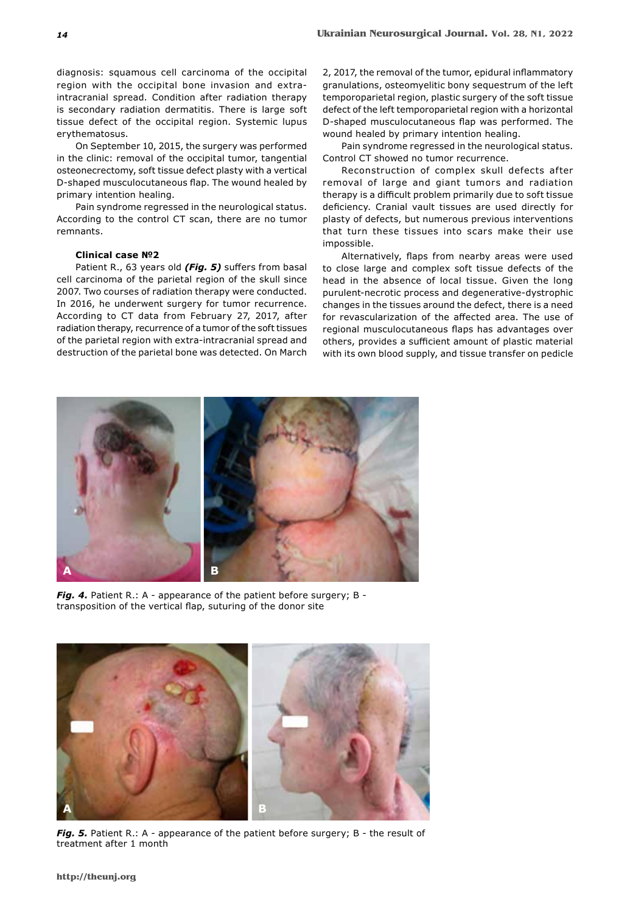diagnosis: squamous cell carcinoma of the occipital region with the occipital bone invasion and extraintracranial spread. Condition after radiation therapy is secondary radiation dermatitis. There is large soft tissue defect of the occipital region. Systemic lupus erythematosus.

On September 10, 2015, the surgery was performed in the clinic: removal of the occipital tumor, tangential osteonecrectomy, soft tissue defect plasty with a vertical D-shaped musculocutaneous flap. The wound healed by primary intention healing.

Pain syndrome regressed in the neurological status. According to the control CT scan, there are no tumor remnants.

# **Clinical case №2**

Patient R., 63 years old *(Fig. 5)* suffers from basal cell carcinoma of the parietal region of the skull since 2007. Two courses of radiation therapy were conducted. In 2016, he underwent surgery for tumor recurrence. According to CT data from February 27, 2017, after radiation therapy, recurrence of a tumor of the soft tissues of the parietal region with extra-intracranial spread and destruction of the parietal bone was detected. On March 2, 2017, the removal of the tumor, epidural inflammatory granulations, osteomyelitic bony sequestrum of the left temporoparietal region, plastic surgery of the soft tissue defect of the left temporoparietal region with a horizontal D-shaped musculocutaneous flap was performed. The wound healed by primary intention healing.

Pain syndrome regressed in the neurological status. Control CT showed no tumor recurrence.

Reconstruction of complex skull defects after removal of large and giant tumors and radiation therapy is a difficult problem primarily due to soft tissue deficiency. Cranial vault tissues are used directly for plasty of defects, but numerous previous interventions that turn these tissues into scars make their use impossible.

Alternatively, flaps from nearby areas were used to close large and complex soft tissue defects of the head in the absence of local tissue. Given the long purulent-necrotic process and degenerative-dystrophic changes in the tissues around the defect, there is a need for revascularization of the affected area. The use of regional musculocutaneous flaps has advantages over others, provides a sufficient amount of plastic material with its own blood supply, and tissue transfer on pedicle



**Fig. 4.** Patient R.: A - appearance of the patient before surgery; B transposition of the vertical flap, suturing of the donor site



*Fig. 5.* Patient R.: A - appearance of the patient before surgery; B - the result of treatment after 1 month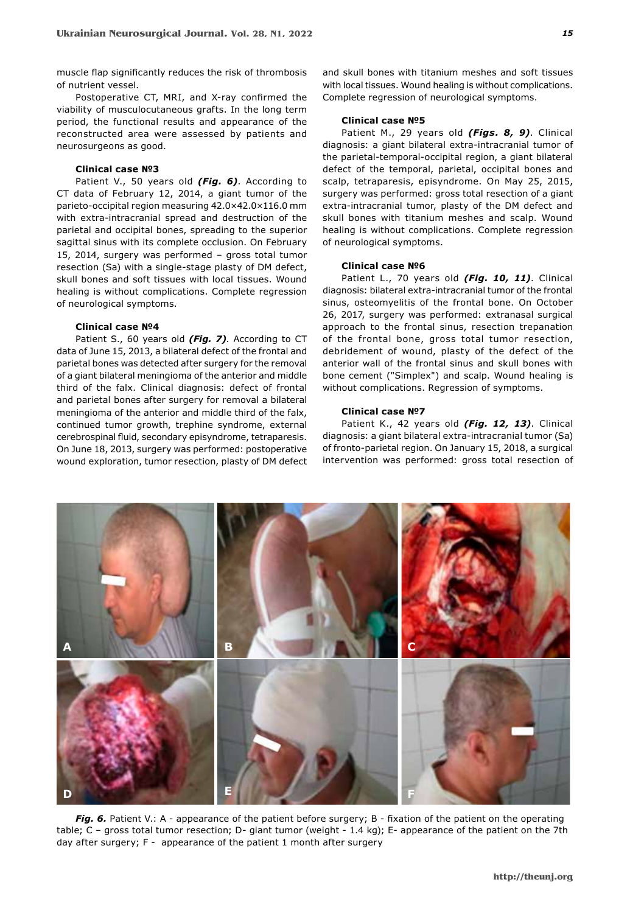muscle flap significantly reduces the risk of thrombosis of nutrient vessel.

Postoperative CT, MRI, and X-ray confirmed the viability of musculocutaneous grafts. In the long term period, the functional results and appearance of the reconstructed area were assessed by patients and neurosurgeons as good.

### **Clinical case №3**

Patient V., 50 years old *(Fig. 6)*. According to CT data of February 12, 2014, a giant tumor of the parieto-occipital region measuring 42.0×42.0×116.0 mm with extra-intracranial spread and destruction of the parietal and occipital bones, spreading to the superior sagittal sinus with its complete occlusion. On February 15, 2014, surgery was performed – gross total tumor resection (Sa) with a single-stage plasty of DM defect, skull bones and soft tissues with local tissues. Wound healing is without complications. Complete regression of neurological symptoms.

# **Clinical case №4**

Patient S., 60 years old *(Fig. 7)*. According to CT data of June 15, 2013, a bilateral defect of the frontal and parietal bones was detected after surgery for the removal of a giant bilateral meningioma of the anterior and middle third of the falx. Clinical diagnosis: defect of frontal and parietal bones after surgery for removal a bilateral meningioma of the anterior and middle third of the falx, continued tumor growth, trephine syndrome, external cerebrospinal fluid, secondary episyndrome, tetraparesis. On June 18, 2013, surgery was performed: postoperative wound exploration, tumor resection, plasty of DM defect and skull bones with titanium meshes and soft tissues with local tissues. Wound healing is without complications. Complete regression of neurological symptoms.

#### **Clinical case №5**

Patient M., 29 years old *(Figs. 8, 9)*. Clinical diagnosis: a giant bilateral extra-intracranial tumor of the parietal-temporal-occipital region, a giant bilateral defect of the temporal, parietal, occipital bones and scalp, tetraparesis, episyndrome. On May 25, 2015, surgery was performed: gross total resection of a giant extra-intracranial tumor, plasty of the DM defect and skull bones with titanium meshes and scalp. Wound healing is without complications. Complete regression of neurological symptoms.

# **Clinical case №6**

Patient L., 70 years old *(Fig. 10, 11)*. Clinical diagnosis: bilateral extra-intracranial tumor of the frontal sinus, osteomyelitis of the frontal bone. On October 26, 2017, surgery was performed: extranasal surgical approach to the frontal sinus, resection trepanation of the frontal bone, gross total tumor resection, debridement of wound, plasty of the defect of the anterior wall of the frontal sinus and skull bones with bone cement ("Simplex") and scalp. Wound healing is without complications. Regression of symptoms.

### **Clinical case №7**

Patient K., 42 years old *(Fig. 12, 13)*. Clinical diagnosis: a giant bilateral extra-intracranial tumor (Sa) of fronto-parietal region. On January 15, 2018, a surgical intervention was performed: gross total resection of



*Fig. 6.* Patient V.: A - appearance of the patient before surgery; B - fixation of the patient on the operating table; C – gross total tumor resection; D- giant tumor (weight - 1.4 kg); E- appearance of the patient on the 7th day after surgery; F - appearance of the patient 1 month after surgery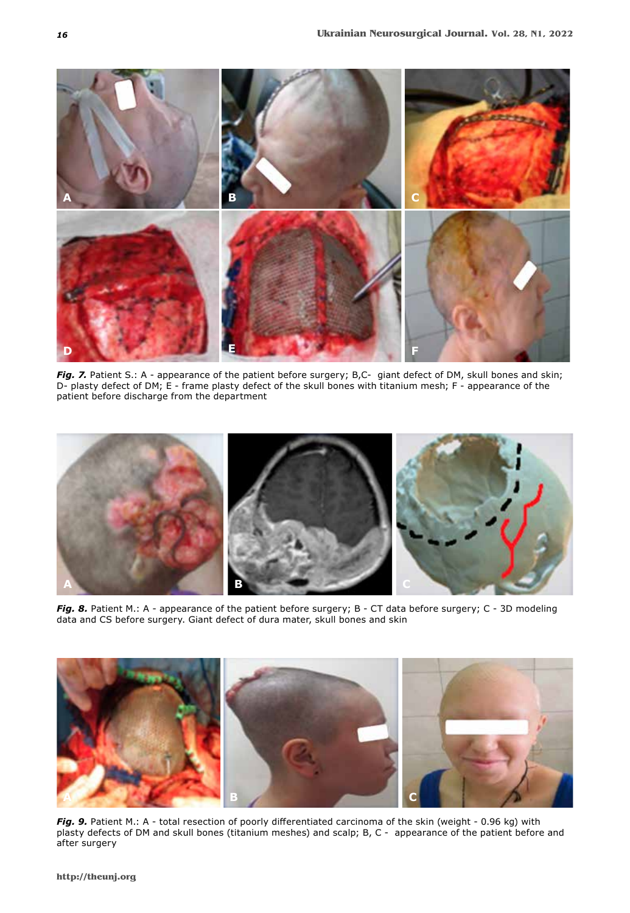

*Fig. 7.* Patient S.: A - appearance of the patient before surgery; B,C- giant defect of DM, skull bones and skin; D- plasty defect of DM; E - frame plasty defect of the skull bones with titanium mesh; F - appearance of the patient before discharge from the department



*Fig. 8.* Patient M.: A - appearance of the patient before surgery; B - CT data before surgery; C - 3D modeling data and CS before surgery. Giant defect of dura mater, skull bones and skin



*Fig. 9.* Patient M.: A - total resection of poorly differentiated carcinoma of the skin (weight - 0.96 kg) with plasty defects of DM and skull bones (titanium meshes) and scalp; B, C - appearance of the patient before and after surgery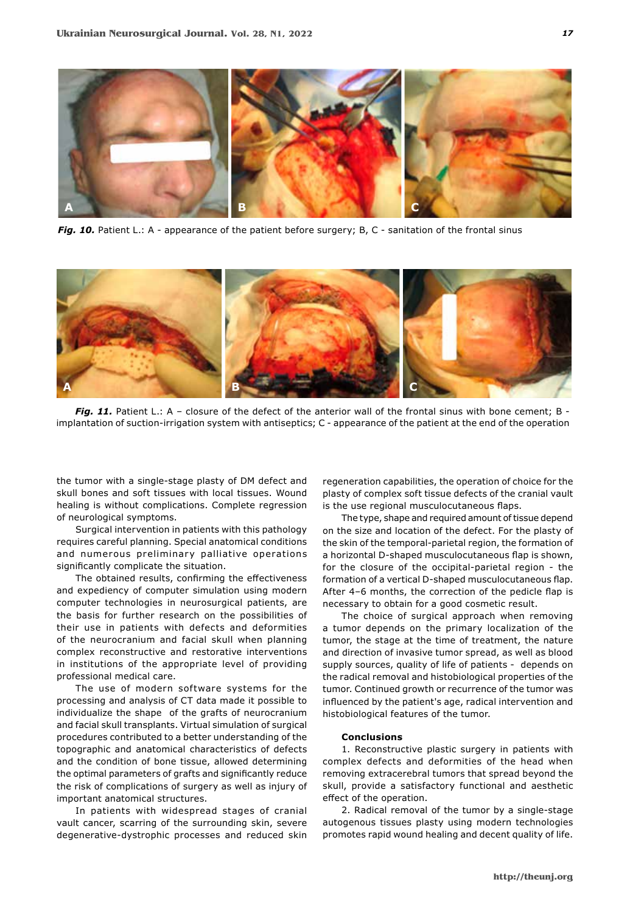

Fig. 10. Patient L.: A - appearance of the patient before surgery; B, C - sanitation of the frontal sinus



*Fig. 11.* Patient L.: A – closure of the defect of the anterior wall of the frontal sinus with bone cement; B implantation of suction-irrigation system with antiseptics; C - appearance of the patient at the end of the operation

the tumor with a single-stage plasty of DM defect and skull bones and soft tissues with local tissues. Wound healing is without complications. Complete regression of neurological symptoms.

Surgical intervention in patients with this pathology requires careful planning. Special anatomical conditions and numerous preliminary palliative operations significantly complicate the situation.

The obtained results, confirming the effectiveness and expediency of computer simulation using modern computer technologies in neurosurgical patients, are the basis for further research on the possibilities of their use in patients with defects and deformities of the neurocranium and facial skull when planning complex reconstructive and restorative interventions in institutions of the appropriate level of providing professional medical care.

The use of modern software systems for the processing and analysis of CT data made it possible to individualize the shape of the grafts of neurocranium and facial skull transplants. Virtual simulation of surgical procedures contributed to a better understanding of the topographic and anatomical characteristics of defects and the condition of bone tissue, allowed determining the optimal parameters of grafts and significantly reduce the risk of complications of surgery as well as injury of important anatomical structures.

In patients with widespread stages of cranial vault cancer, scarring of the surrounding skin, severe degenerative-dystrophic processes and reduced skin regeneration capabilities, the operation of choice for the plasty of complex soft tissue defects of the cranial vault is the use regional musculocutaneous flaps.

The type, shape and required amount of tissue depend on the size and location of the defect. For the plasty of the skin of the temporal-parietal region, the formation of a horizontal D-shaped musculocutaneous flap is shown, for the closure of the occipital-parietal region - the formation of a vertical D-shaped musculocutaneous flap. After 4-6 months, the correction of the pedicle flap is necessary to obtain for a good cosmetic result.

The choice of surgical approach when removing a tumor depends on the primary localization of the tumor, the stage at the time of treatment, the nature and direction of invasive tumor spread, as well as blood supply sources, quality of life of patients - depends on the radical removal and histobiological properties of the tumor. Continued growth or recurrence of the tumor was influenced by the patient's age, radical intervention and histobiological features of the tumor.

### **Conclusions**

1. Reconstructive plastic surgery in patients with complex defects and deformities of the head when removing extracerebral tumors that spread beyond the skull, provide a satisfactory functional and aesthetic effect of the operation.

2. Radical removal of the tumor by a single-stage autogenous tissues plasty using modern technologies promotes rapid wound healing and decent quality of life.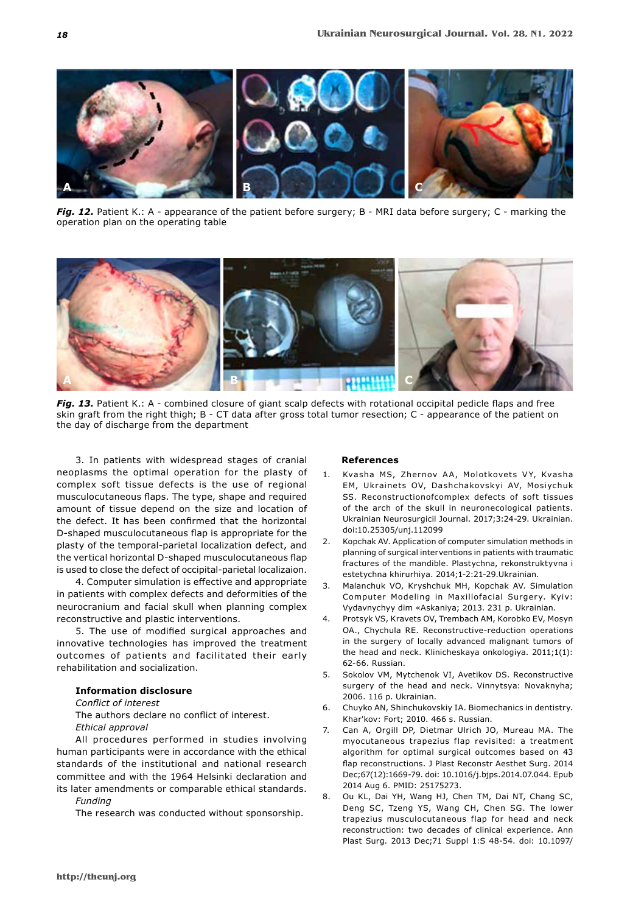

*Fig. 12.* Patient K.: A - appearance of the patient before surgery; B - MRI data before surgery; C - marking the operation plan on the operating table



*Fig. 13.* Patient K.: A - combined closure of giant scalp defects with rotational occipital pedicle flaps and free skin graft from the right thigh; B - CT data after gross total tumor resection; C - appearance of the patient on the day of discharge from the department

3. In patients with widespread stages of cranial neoplasms the optimal operation for the plasty of complex soft tissue defects is the use of regional musculocutaneous flaps. The type, shape and required amount of tissue depend on the size and location of the defect. It has been confirmed that the horizontal D-shaped musculocutaneous flap is appropriate for the plasty of the temporal-parietal localization defect, and the vertical horizontal D-shaped musculocutaneous flap is used to close the defect of occipital-parietal localizaion.

4. Computer simulation is effective and appropriate in patients with complex defects and deformities of the neurocranium and facial skull when planning complex reconstructive and plastic interventions.

5. The use of modified surgical approaches and innovative technologies has improved the treatment outcomes of patients and facilitated their early rehabilitation and socialization.

# **Information disclosure**

## *Conflict of interest*

The authors declare no conflict of interest.

*Ethical approval*

All procedures performed in studies involving human participants were in accordance with the ethical standards of the institutional and national research committee and with the 1964 Helsinki declaration and its later amendments or comparable ethical standards.

*Funding*

The research was conducted without sponsorship.

## **References**

- 1. Kvasha MS, Zhernov AA, Molotkovets VY, Kvasha EM, Ukrainets OV, Dashchakovskyi AV, Mosiychuk SS. Reconstructionofcomplex defects of soft tissues of the arch of the skull in neuronecological patients. Ukrainian Neurosurgicil Journal. 2017;3:24-29. Ukrainian. doi:10.25305/unj.112099
- 2. Kopchak AV. Application of computer simulation methods in planning of surgical interventions in patients with traumatic fractures of the mandible. Plastychna, rekonstruktyvna i estetychna khirurhiya. 2014;1-2:21-29.Ukrainian.
- 3. Malanchuk VO, Kryshchuk MH, Kopchak AV. Simulation Computer Modeling in Maxillofacial Surgery. Kyiv: Vydavnychyy dim «Askaniya; 2013. 231 p. Ukrainian.
- 4. Protsyk VS, Kravets OV, Trembach AM, Korobko EV, Mosyn OA., Chychula RE. Reconstructive-reduction operations in the surgery of locally advanced malignant tumors of the head and neck. Klinicheskaya onkologiya. 2011;1(1): 62-66. Russian.
- 5. Sokolov VM, Mytchenok VI, Avetikov DS. Reconstructive surgery of the head and neck. Vinnytsya: Novaknyha; 2006. 116 p. Ukrainian.
- 6. Chuyko AN, Shinchukovskiy IA. Biomechanics in dentistry. Khar'kov: Fort; 2010. 466 s. Russian.
- 7. Can A, Orgill DP, Dietmar Ulrich JO, Mureau MA. The myocutaneous trapezius flap revisited: a treatment algorithm for optimal surgical outcomes based on 43 flap reconstructions. J Plast Reconstr Aesthet Surg. 2014 Dec;67(12):1669-79. doi: 10.1016/j.bjps.2014.07.044. Epub 2014 Aug 6. PMID: 25175273.
- 8. Ou KL, Dai YH, Wang HJ, Chen TM, Dai NT, Chang SC, Deng SC, Tzeng YS, Wang CH, Chen SG. The lower trapezius musculocutaneous flap for head and neck reconstruction: two decades of clinical experience. Ann Plast Surg. 2013 Dec;71 Suppl 1:S 48-54. doi: 10.1097/